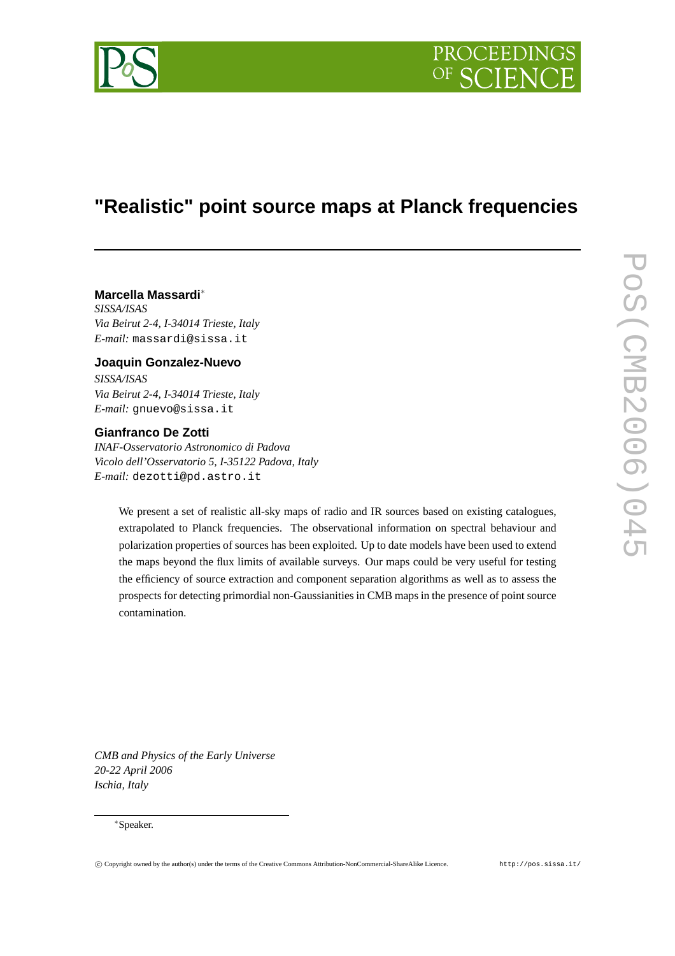

# **"Realistic" point source maps at Planck frequencies**

# **Marcella Massardi**<sup>∗</sup>

*SISSA/ISAS Via Beirut 2-4, I-34014 Trieste, Italy E-mail:* massardi@sissa.it

## **Joaquin Gonzalez-Nuevo**

*SISSA/ISAS Via Beirut 2-4, I-34014 Trieste, Italy E-mail:* gnuevo@sissa.it

## **Gianfranco De Zotti**

*INAF-Osservatorio Astronomico di Padova Vicolo dell'Osservatorio 5, I-35122 Padova, Italy E-mail:* dezotti@pd.astro.it

> We present a set of realistic all-sky maps of radio and IR sources based on existing catalogues, extrapolated to Planck frequencies. The observational information on spectral behaviour and polarization properties of sources has been exploited. Up to date models have been used to extend the maps beyond the flux limits of available surveys. Our maps could be very useful for testing the efficiency of source extraction and component separation algorithms as well as to assess the prospects for detecting primordial non-Gaussianities in CMB maps in the presence of point source contamination.

*CMB and Physics of the Early Universe 20-22 April 2006 Ischia, Italy*

#### <sup>∗</sup>Speaker.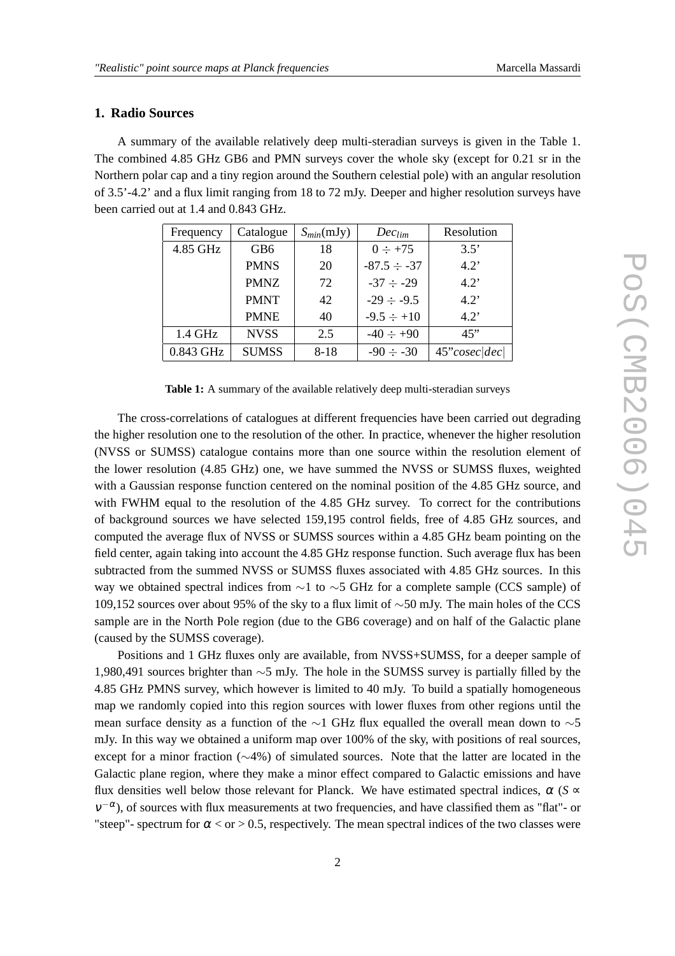## **1. Radio Sources**

A summary of the available relatively deep multi-steradian surveys is given in the Table 1. The combined 4.85 GHz GB6 and PMN surveys cover the whole sky (except for 0.21 sr in the Northern polar cap and a tiny region around the Southern celestial pole) with an angular resolution of 3.5'-4.2' and a flux limit ranging from 18 to 72 mJy. Deeper and higher resolution surveys have been carried out at 1.4 and 0.843 GHz.

| Frequency | Catalogue       | $S_{min}(mJy)$ | $Dec_{lim}$      | Resolution    |
|-----------|-----------------|----------------|------------------|---------------|
| 4.85 GHz  | GB <sub>6</sub> | 18             | $0 \div +75$     | 3.5'          |
|           | <b>PMNS</b>     | 20             | $-87.5 \div -37$ | 4.2'          |
|           | <b>PMNZ</b>     | 72             | $-37 \div -29$   | $4.2^{\circ}$ |
|           | <b>PMNT</b>     | 42             | $-29 \div -9.5$  | 4.2"          |
|           | <b>PMNE</b>     | 40             | $-9.5 \div +10$  | $4.2^{\circ}$ |
| $1.4$ GHz | <b>NVSS</b>     | 2.5            | $-40 \div +90$   | 45"           |
| 0.843 GHz | <b>SUMSS</b>    | $8 - 18$       | $-90 \div -30$   | 45"cosec dec  |

**Table 1:** A summary of the available relatively deep multi-steradian surveys

The cross-correlations of catalogues at different frequencies have been carried out degrading the higher resolution one to the resolution of the other. In practice, whenever the higher resolution (NVSS or SUMSS) catalogue contains more than one source within the resolution element of the lower resolution (4.85 GHz) one, we have summed the NVSS or SUMSS fluxes, weighted with a Gaussian response function centered on the nominal position of the 4.85 GHz source, and with FWHM equal to the resolution of the 4.85 GHz survey. To correct for the contributions of background sources we have selected 159,195 control fields, free of 4.85 GHz sources, and computed the average flux of NVSS or SUMSS sources within a 4.85 GHz beam pointing on the field center, again taking into account the 4.85 GHz response function. Such average flux has been subtracted from the summed NVSS or SUMSS fluxes associated with 4.85 GHz sources. In this way we obtained spectral indices from ∼1 to ∼5 GHz for a complete sample (CCS sample) of 109,152 sources over about 95% of the sky to a flux limit of ∼50 mJy. The main holes of the CCS sample are in the North Pole region (due to the GB6 coverage) and on half of the Galactic plane (caused by the SUMSS coverage).

Positions and 1 GHz fluxes only are available, from NVSS+SUMSS, for a deeper sample of 1,980,491 sources brighter than ∼5 mJy. The hole in the SUMSS survey is partially filled by the 4.85 GHz PMNS survey, which however is limited to 40 mJy. To build a spatially homogeneous map we randomly copied into this region sources with lower fluxes from other regions until the mean surface density as a function of the ∼1 GHz flux equalled the overall mean down to ∼5 mJy. In this way we obtained a uniform map over 100% of the sky, with positions of real sources, except for a minor fraction (∼4%) of simulated sources. Note that the latter are located in the Galactic plane region, where they make a minor effect compared to Galactic emissions and have flux densities well below those relevant for Planck. We have estimated spectral indices,  $\alpha$  (*S*  $\approx$  $v^{-\alpha}$ ), of sources with flux measurements at two frequencies, and have classified them as "flat"- or "steep"- spectrum for  $\alpha <$  or  $> 0.5$ , respectively. The mean spectral indices of the two classes were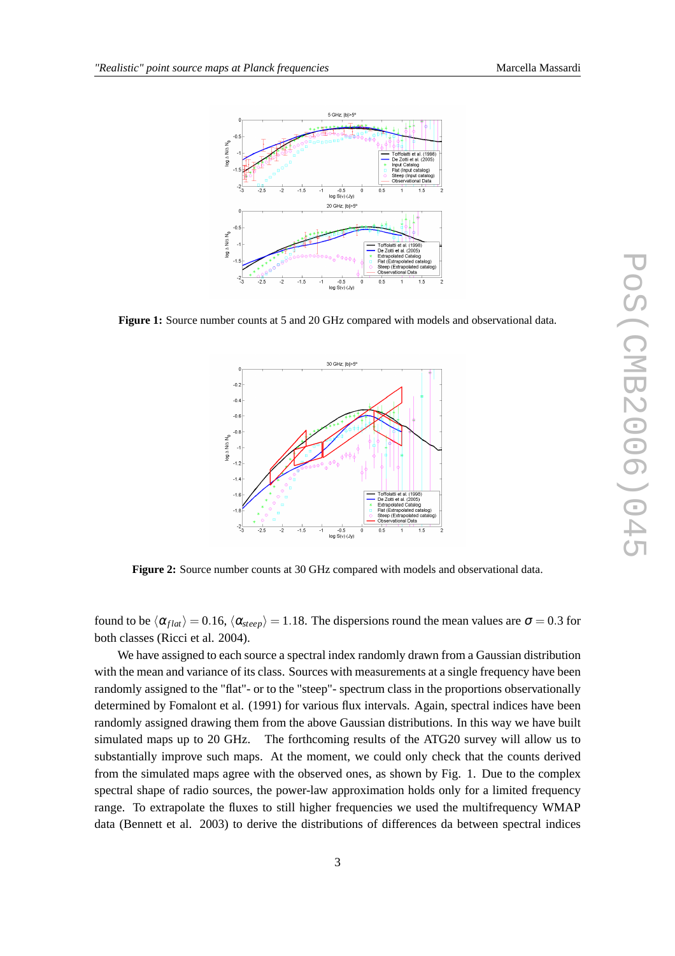

**Figure 1:** Source number counts at 5 and 20 GHz compared with models and observational data.



**Figure 2:** Source number counts at 30 GHz compared with models and observational data.

found to be  $\langle \alpha_{flat} \rangle = 0.16$ ,  $\langle \alpha_{steep} \rangle = 1.18$ . The dispersions round the mean values are  $\sigma = 0.3$  for both classes (Ricci et al. 2004).

We have assigned to each source a spectral index randomly drawn from a Gaussian distribution with the mean and variance of its class. Sources with measurements at a single frequency have been randomly assigned to the "flat"- or to the "steep"- spectrum class in the proportions observationally determined by Fomalont et al. (1991) for various flux intervals. Again, spectral indices have been randomly assigned drawing them from the above Gaussian distributions. In this way we have built simulated maps up to 20 GHz. The forthcoming results of the ATG20 survey will allow us to substantially improve such maps. At the moment, we could only check that the counts derived from the simulated maps agree with the observed ones, as shown by Fig. 1. Due to the complex spectral shape of radio sources, the power-law approximation holds only for a limited frequency range. To extrapolate the fluxes to still higher frequencies we used the multifrequency WMAP data (Bennett et al. 2003) to derive the distributions of differences da between spectral indices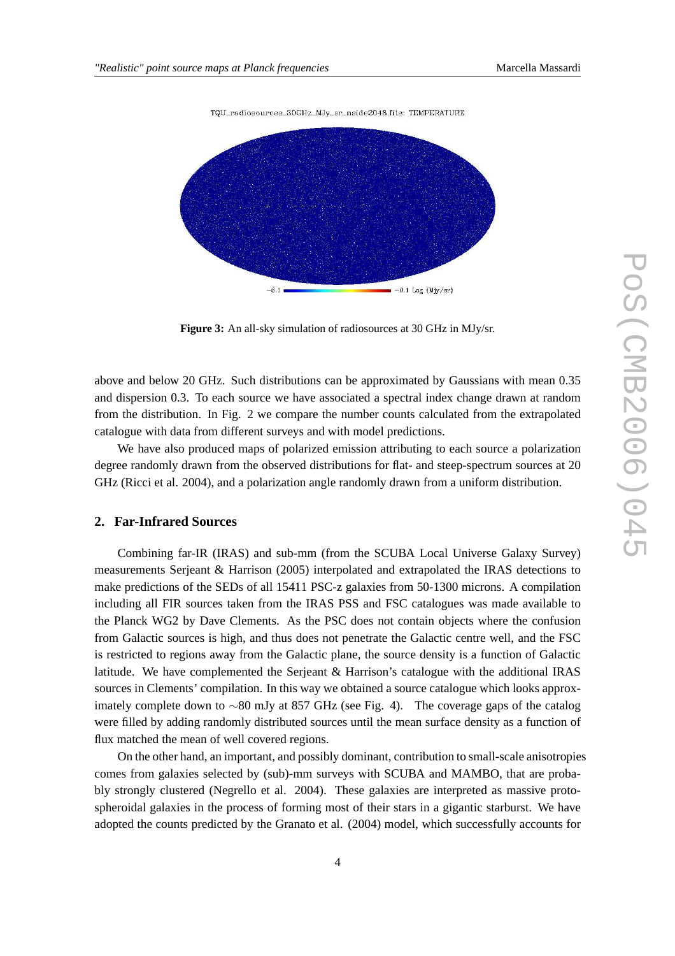

TQU\_radiosources\_30GHz\_MJv\_sr\_nside2048.fits: TEMPERATURE

**Figure 3:** An all-sky simulation of radiosources at 30 GHz in MJy/sr.

above and below 20 GHz. Such distributions can be approximated by Gaussians with mean 0.35 and dispersion 0.3. To each source we have associated a spectral index change drawn at random from the distribution. In Fig. 2 we compare the number counts calculated from the extrapolated catalogue with data from different surveys and with model predictions.

We have also produced maps of polarized emission attributing to each source a polarization degree randomly drawn from the observed distributions for flat- and steep-spectrum sources at 20 GHz (Ricci et al. 2004), and a polarization angle randomly drawn from a uniform distribution.

## **2. Far-Infrared Sources**

Combining far-IR (IRAS) and sub-mm (from the SCUBA Local Universe Galaxy Survey) measurements Serjeant & Harrison (2005) interpolated and extrapolated the IRAS detections to make predictions of the SEDs of all 15411 PSC-z galaxies from 50-1300 microns. A compilation including all FIR sources taken from the IRAS PSS and FSC catalogues was made available to the Planck WG2 by Dave Clements. As the PSC does not contain objects where the confusion from Galactic sources is high, and thus does not penetrate the Galactic centre well, and the FSC is restricted to regions away from the Galactic plane, the source density is a function of Galactic latitude. We have complemented the Serjeant & Harrison's catalogue with the additional IRAS sources in Clements' compilation. In this way we obtained a source catalogue which looks approximately complete down to ∼80 mJy at 857 GHz (see Fig. 4). The coverage gaps of the catalog were filled by adding randomly distributed sources until the mean surface density as a function of flux matched the mean of well covered regions.

On the other hand, an important, and possibly dominant, contribution to small-scale anisotropies comes from galaxies selected by (sub)-mm surveys with SCUBA and MAMBO, that are probably strongly clustered (Negrello et al. 2004). These galaxies are interpreted as massive protospheroidal galaxies in the process of forming most of their stars in a gigantic starburst. We have adopted the counts predicted by the Granato et al. (2004) model, which successfully accounts for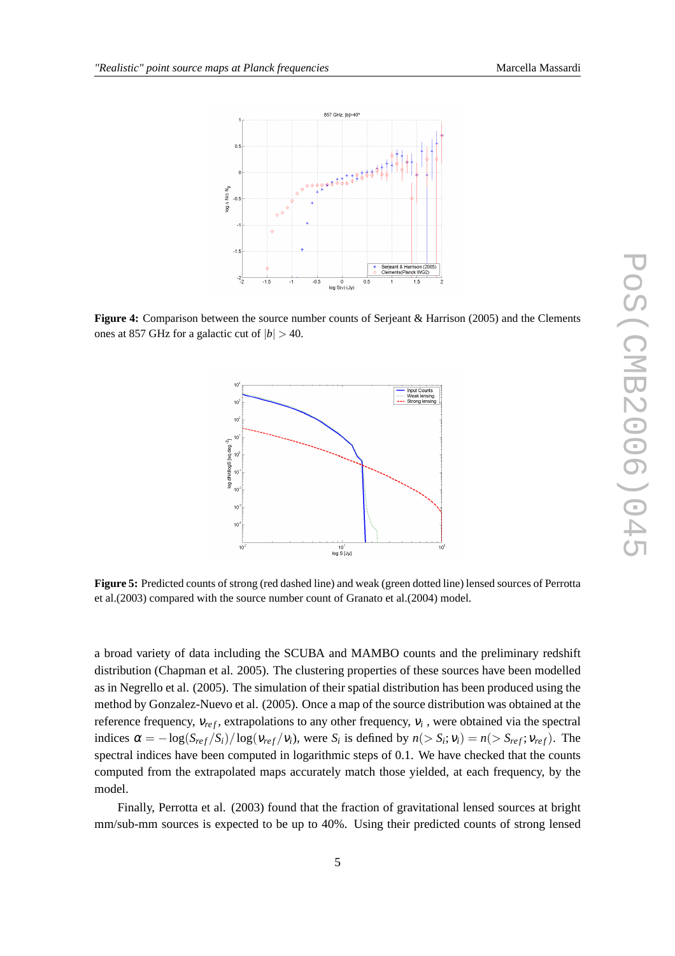

**Figure 4:** Comparison between the source number counts of Serjeant & Harrison (2005) and the Clements ones at 857 GHz for a galactic cut of  $|b| > 40$ .



**Figure 5:** Predicted counts of strong (red dashed line) and weak (green dotted line) lensed sources of Perrotta et al.(2003) compared with the source number count of Granato et al.(2004) model.

a broad variety of data including the SCUBA and MAMBO counts and the preliminary redshift distribution (Chapman et al. 2005). The clustering properties of these sources have been modelled as in Negrello et al. (2005). The simulation of their spatial distribution has been produced using the method by Gonzalez-Nuevo et al. (2005). Once a map of the source distribution was obtained at the reference frequency,  $v_{ref}$ , extrapolations to any other frequency,  $v_i$ , were obtained via the spectral indices  $\alpha = -\log(S_{ref}/S_i)/\log(\nu_{ref}/\nu_i)$ , were  $S_i$  is defined by  $n(> S_i; v_i) = n(> S_{ref}; v_{ref})$ . The spectral indices have been computed in logarithmic steps of 0.1. We have checked that the counts computed from the extrapolated maps accurately match those yielded, at each frequency, by the model.

Finally, Perrotta et al. (2003) found that the fraction of gravitational lensed sources at bright mm/sub-mm sources is expected to be up to 40%. Using their predicted counts of strong lensed